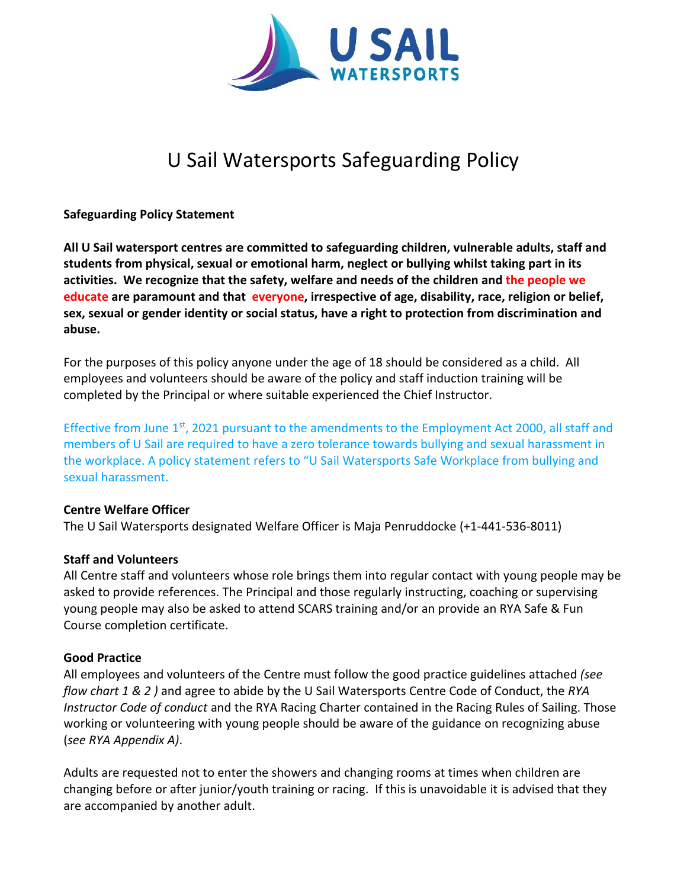

# U Sail Watersports Safeguarding Policy

## **Safeguarding Policy Statement**

**All U Sail watersport centres are committed to safeguarding children, vulnerable adults, staff and students from physical, sexual or emotional harm, neglect or bullying whilst taking part in its activities. We recognize that the safety, welfare and needs of the children and the people we educate are paramount and that everyone, irrespective of age, disability, race, religion or belief, sex, sexual or gender identity or social status, have a right to protection from discrimination and abuse.**

For the purposes of this policy anyone under the age of 18 should be considered as a child. All employees and volunteers should be aware of the policy and staff induction training will be completed by the Principal or where suitable experienced the Chief Instructor.

Effective from June 1<sup>st</sup>, 2021 pursuant to the amendments to the Employment Act 2000, all staff and members of U Sail are required to have a zero tolerance towards bullying and sexual harassment in the workplace. A policy statement refers to "U Sail Watersports Safe Workplace from bullying and sexual harassment.

### **Centre Welfare Officer**

The U Sail Watersports designated Welfare Officer is Maja Penruddocke (+1-441-536-8011)

### **Staff and Volunteers**

All Centre staff and volunteers whose role brings them into regular contact with young people may be asked to provide references. The Principal and those regularly instructing, coaching or supervising young people may also be asked to attend SCARS training and/or an provide an RYA Safe & Fun Course completion certificate.

### **Good Practice**

All employees and volunteers of the Centre must follow the good practice guidelines attached *(see flow chart 1 & 2 )* and agree to abide by the U Sail Watersports Centre Code of Conduct, the *RYA Instructor Code of conduct* and the RYA Racing Charter contained in the Racing Rules of Sailing. Those working or volunteering with young people should be aware of the guidance on recognizing abuse (*see RYA Appendix A)*.

Adults are requested not to enter the showers and changing rooms at times when children are changing before or after junior/youth training or racing. If this is unavoidable it is advised that they are accompanied by another adult.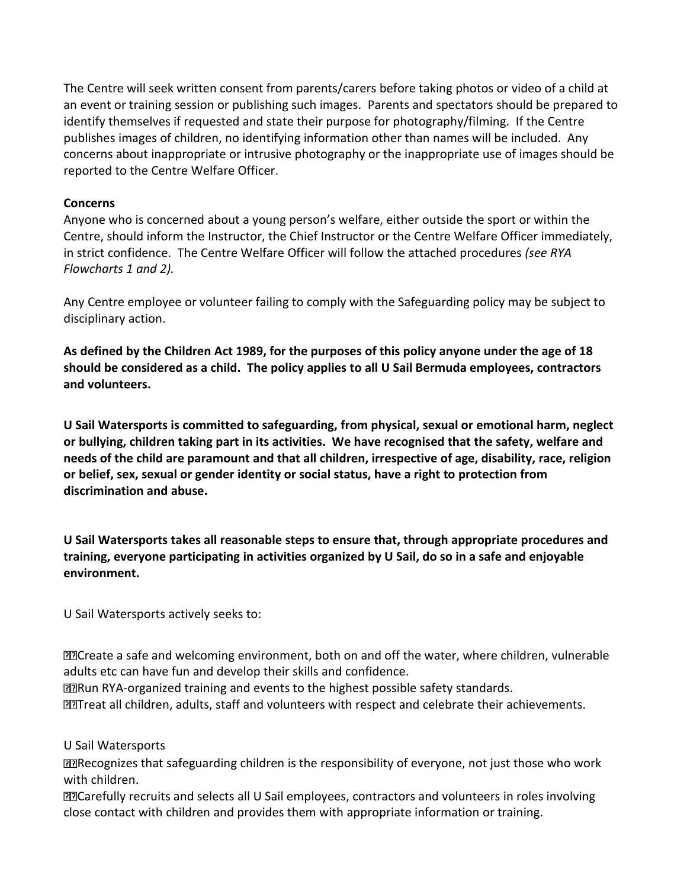The Centre will seek written consent from parents/carers before taking photos or video of a child at an event or training session or publishing such images. Parents and spectators should be prepared to identify themselves if requested and state their purpose for photography/filming. If the Centre publishes images of children, no identifying information other than names will be included. Any concerns about inappropriate or intrusive photography or the inappropriate use of images should be reported to the Centre Welfare Officer.

# **Concerns**

Anyone who is concerned about a young person's welfare, either outside the sport or within the Centre, should inform the Instructor, the Chief Instructor or the Centre Welfare Officer immediately, in strict confidence. The Centre Welfare Officer will follow the attached procedures *(see RYA Flowcharts 1 and 2).*

Any Centre employee or volunteer failing to comply with the Safeguarding policy may be subject to disciplinary action.

As defined by the Children Act 1989, for the purposes of this policy anyone under the age of 18 **should be considered as a child. The policy applies to all U Sail Bermuda employees, contractors and volunteers.**

**U Sail Watersports is committed to safeguarding, from physical, sexual or emotional harm, neglect or bullying, children taking part in its activities. We have recognised that the safety, welfare and needs of the child are paramount and that all children, irrespective of age, disability, race, religion or belief, sex, sexual or gender identity or social status, have a right to protection from discrimination and abuse.**

**U Sail Watersports takes all reasonable steps to ensure that, through appropriate procedures and training, everyone participating in activities organized by U Sail, do so in a safe and enjoyable environment.**

U Sail Watersports actively seeks to:

Create a safe and welcoming environment, both on and off the water, where children, vulnerable adults etc can have fun and develop their skills and confidence.

Run RYA-organized training and events to the highest possible safety standards.

Treat all children, adults, staff and volunteers with respect and celebrate their achievements.

U Sail Watersports

Recognizes that safeguarding children is the responsibility of everyone, not just those who work with children.

**<u>D</u>ECarefully recruits and selects all U Sail employees, contractors and volunteers in roles involving** close contact with children and provides them with appropriate information or training.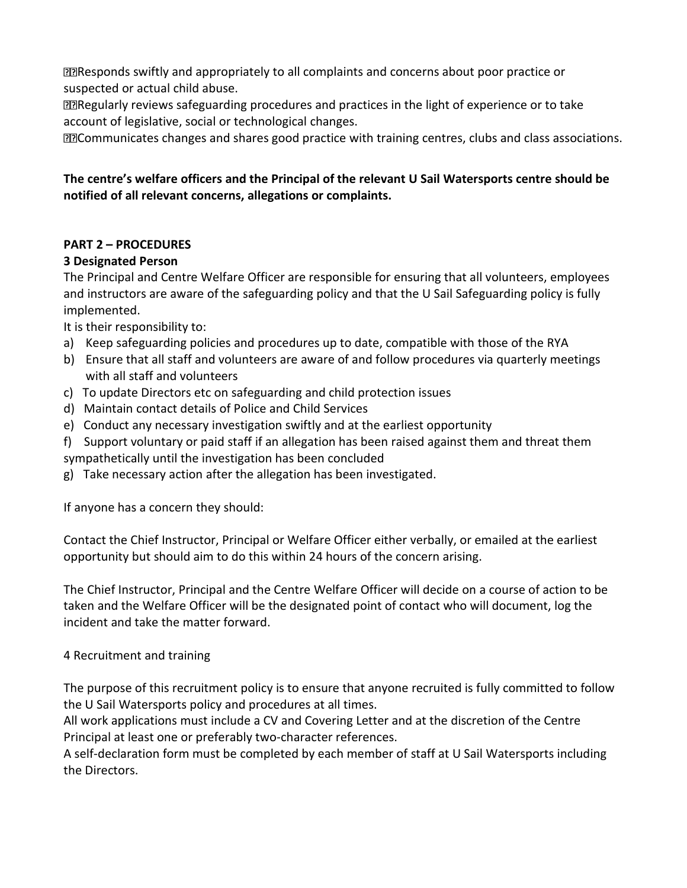Responds swiftly and appropriately to all complaints and concerns about poor practice or suspected or actual child abuse.

Regularly reviews safeguarding procedures and practices in the light of experience or to take account of legislative, social or technological changes.

Communicates changes and shares good practice with training centres, clubs and class associations.

# **The centre's welfare officers and the Principal of the relevant U Sail Watersports centre should be notified of all relevant concerns, allegations or complaints.**

# **PART 2 – PROCEDURES**

# **3 Designated Person**

The Principal and Centre Welfare Officer are responsible for ensuring that all volunteers, employees and instructors are aware of the safeguarding policy and that the U Sail Safeguarding policy is fully implemented.

It is their responsibility to:

- a) Keep safeguarding policies and procedures up to date, compatible with those of the RYA
- b) Ensure that all staff and volunteers are aware of and follow procedures via quarterly meetings with all staff and volunteers
- c) To update Directors etc on safeguarding and child protection issues
- d) Maintain contact details of Police and Child Services
- e) Conduct any necessary investigation swiftly and at the earliest opportunity
- f) Support voluntary or paid staff if an allegation has been raised against them and threat them
- sympathetically until the investigation has been concluded
- g) Take necessary action after the allegation has been investigated.

If anyone has a concern they should:

Contact the Chief Instructor, Principal or Welfare Officer either verbally, or emailed at the earliest opportunity but should aim to do this within 24 hours of the concern arising.

The Chief Instructor, Principal and the Centre Welfare Officer will decide on a course of action to be taken and the Welfare Officer will be the designated point of contact who will document, log the incident and take the matter forward.

# 4 Recruitment and training

The purpose of this recruitment policy is to ensure that anyone recruited is fully committed to follow the U Sail Watersports policy and procedures at all times.

All work applications must include a CV and Covering Letter and at the discretion of the Centre Principal at least one or preferably two-character references.

A self-declaration form must be completed by each member of staff at U Sail Watersports including the Directors.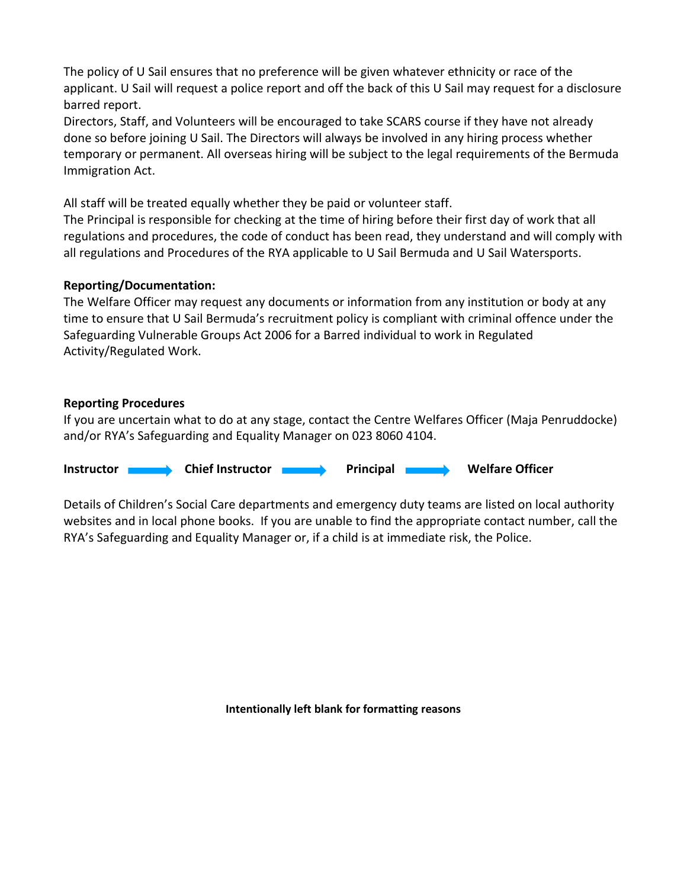The policy of U Sail ensures that no preference will be given whatever ethnicity or race of the applicant. U Sail will request a police report and off the back of this U Sail may request for a disclosure barred report.

Directors, Staff, and Volunteers will be encouraged to take SCARS course if they have not already done so before joining U Sail. The Directors will always be involved in any hiring process whether temporary or permanent. All overseas hiring will be subject to the legal requirements of the Bermuda Immigration Act.

All staff will be treated equally whether they be paid or volunteer staff.

The Principal is responsible for checking at the time of hiring before their first day of work that all regulations and procedures, the code of conduct has been read, they understand and will comply with all regulations and Procedures of the RYA applicable to U Sail Bermuda and U Sail Watersports.

# **Reporting/Documentation:**

The Welfare Officer may request any documents or information from any institution or body at any time to ensure that U Sail Bermuda's recruitment policy is compliant with criminal offence under the Safeguarding Vulnerable Groups Act 2006 for a Barred individual to work in Regulated Activity/Regulated Work.

## **Reporting Procedures**

If you are uncertain what to do at any stage, contact the Centre Welfares Officer (Maja Penruddocke) and/or RYA's Safeguarding and Equality Manager on 023 8060 4104.

**Instructor Chief Instructor Chief Instructor Principal Melfare Officer** 

Details of Children's Social Care departments and emergency duty teams are listed on local authority websites and in local phone books. If you are unable to find the appropriate contact number, call the RYA's Safeguarding and Equality Manager or, if a child is at immediate risk, the Police.

**Intentionally left blank for formatting reasons**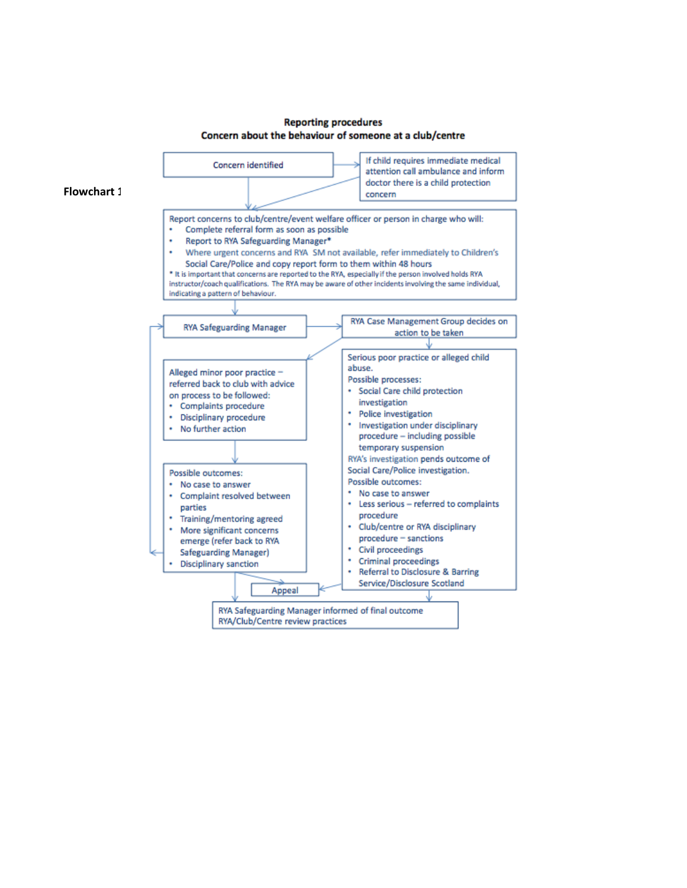

#### **Reporting procedures** Concern about the behaviour of someone at a club/centre